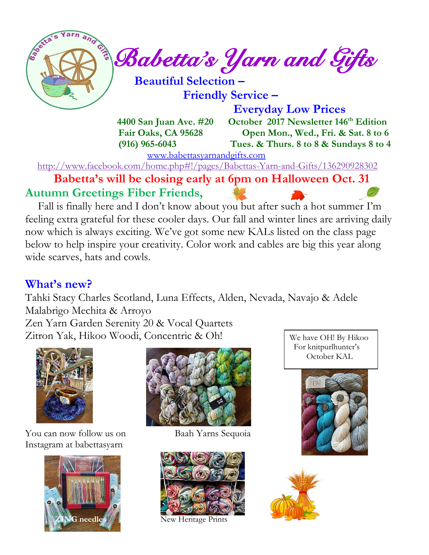*Babetta's Yarn and Gifts*   **Beautiful Selection –**

 **Friendly Service –**

 **Everyday Low Prices**

 **4400 San Juan Ave. #20 October 2017 Newsletter 146 th Edition Fair Oaks, CA 95628 Open Mon., Wed., Fri. & Sat. 8 to 6 (916) 965-6043 Tues. & Thurs. 8 to 8 & Sundays 8 to 4** 

[www.babettasyarnandgifts.com](http://www.babettasyarnandgifts.com/)

<http://www.facebook.com/home.php#!/pages/Babettas-Yarn-and-Gifts/136290928302>

 **Babetta's will be closing early at 6pm on Halloween Oct. 31 Autumn Greetings Fiber Friends,**

Fall is finally here and I don't know about you but after such a hot summer I'm feeling extra grateful for these cooler days. Our fall and winter lines are arriving daily now which is always exciting. We've got some new KALs listed on the class page below to help inspire your creativity. Color work and cables are big this year along wide scarves, hats and cowls.

### **What's new?**

Tahki Stacy Charles Scotland, Luna Effects, Alden, Nevada, Navajo & Adele Malabrigo Mechita & Arroyo

Zen Yarn Garden Serenity 20 & Vocal Quartets Zitron Yak, Hikoo Woodi, Concentric & Oh!



You can now follow us on Baah Yarns Sequoia Instagram at babettasyarn







*XG* needles!// New Heritage Prints

We have OH! By Hikoo For knitpurlhunter's October KAL



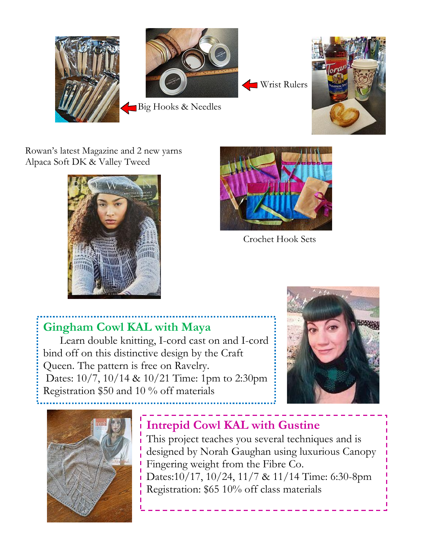



Rowan's latest Magazine and 2 new yarns Alpaca Soft DK & Valley Tweed





Crochet Hook Sets

### **Gingham Cowl KAL with Maya**

 Learn double knitting, I-cord cast on and I-cord bind off on this distinctive design by the Craft Queen. The pattern is free on Ravelry. Dates: 10/7, 10/14 & 10/21 Time: 1pm to 2:30pm Registration \$50 and 10 % off materials





## **Intrepid Cowl KAL with Gustine**

This project teaches you several techniques and is designed by Norah Gaughan using luxurious Canopy Fingering weight from the Fibre Co. Dates:10/17, 10/24, 11/7 & 11/14 Time: 6:30-8pm Registration: \$65 10% off class materials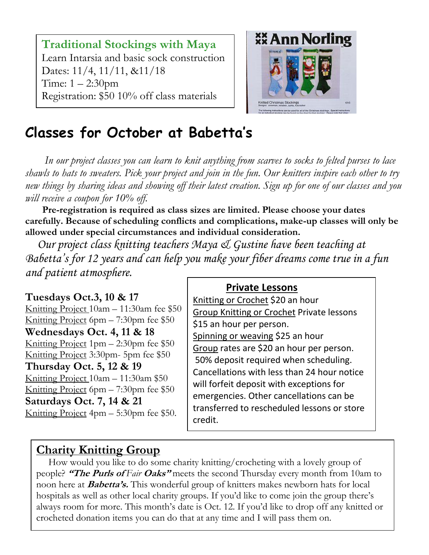**Traditional Stockings with Maya** Learn Intarsia and basic sock construction Dates: 11/4, 11/11, &11/18 Time: 1 – 2:30pm Registration: \$50 10% off class materials



# **Classes for October at Babetta's**

 *In our project classes you can learn to knit anything from scarves to socks to felted purses to lace shawls to hats to sweaters. Pick your project and join in the fun. Our knitters inspire each other to try new things by sharing ideas and showing off their latest creation. Sign up for one of our classes and you will receive a coupon for 10% off.*

 **Pre-registration is required as class sizes are limited. Please choose your dates carefully. Because of scheduling conflicts and complications, make-up classes will only be allowed under special circumstances and individual consideration.**

*Our project class knitting teachers Maya & Gustine have been teaching at Babetta's for 12 years and can help you make your fiber dreams come true in a fun and patient atmosphere.*

#### **Tuesdays Oct.3, 10 & 17**

Knitting Project 10am – 11:30am fee \$50 Knitting Project 6pm – 7:30pm fee \$50 **Wednesdays Oct. 4, 11 & 18** Knitting Project  $1 \text{pm} - 2:30 \text{pm}$  fee \$50 Knitting Project 3:30pm- 5pm fee \$50 **Thursday Oct. 5, 12 & 19** Knitting Project 10am – 11:30am \$50 Knitting Project 6pm – 7:30pm fee \$50 **Saturdays Oct. 7, 14 & 21** Knitting Project 4pm – 5:30pm fee \$50.

#### **Private Lessons**

Knitting or Crochet \$20 an hour Group Knitting or Crochet Private lessons \$15 an hour per person. Spinning or weaving \$25 an hour Group rates are \$20 an hour per person. 50% deposit required when scheduling. Cancellations with less than 24 hour notice will forfeit deposit with exceptions for emergencies. Other cancellations can be transferred to rescheduled lessons or store credit.

### **Charity Knitting Group**

 How would you like to do some charity knitting/crocheting with a lovely group of people? **"The Purls of** *Fair* **Oaks"** meets the second Thursday every month from 10am to noon here at **Babetta's.** This wonderful group of knitters makes newborn hats for local hospitals as well as other local charity groups. If you'd like to come join the group there's always room for more. This month's date is Oct. 12. If you'd like to drop off any knitted or crocheted donation items you can do that at any time and I will pass them on.